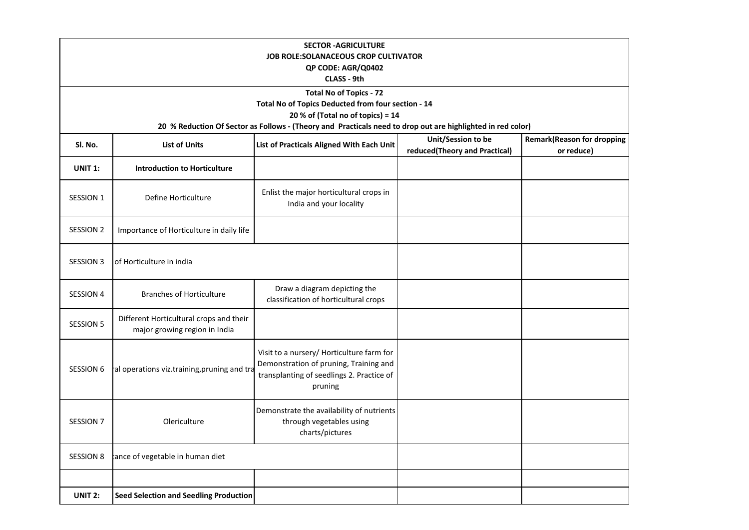| <b>SECTOR - AGRICULTURE</b><br><b>JOB ROLE:SOLANACEOUS CROP CULTIVATOR</b><br>QP CODE: AGR/Q0402<br>CLASS - 9th                                    |                                                                          |                                                                                                                                             |                                                     |                                                 |
|----------------------------------------------------------------------------------------------------------------------------------------------------|--------------------------------------------------------------------------|---------------------------------------------------------------------------------------------------------------------------------------------|-----------------------------------------------------|-------------------------------------------------|
| <b>Total No of Topics - 72</b>                                                                                                                     |                                                                          |                                                                                                                                             |                                                     |                                                 |
|                                                                                                                                                    |                                                                          | Total No of Topics Deducted from four section - 14                                                                                          |                                                     |                                                 |
| 20 % of (Total no of topics) = $14$<br>20 % Reduction Of Sector as Follows - (Theory and Practicals need to drop out are highlighted in red color) |                                                                          |                                                                                                                                             |                                                     |                                                 |
|                                                                                                                                                    |                                                                          |                                                                                                                                             |                                                     |                                                 |
| Sl. No.                                                                                                                                            | <b>List of Units</b>                                                     | List of Practicals Aligned With Each Unit                                                                                                   | Unit/Session to be<br>reduced(Theory and Practical) | <b>Remark(Reason for dropping</b><br>or reduce) |
| <b>UNIT 1:</b>                                                                                                                                     | <b>Introduction to Horticulture</b>                                      |                                                                                                                                             |                                                     |                                                 |
| SESSION 1                                                                                                                                          | Define Horticulture                                                      | Enlist the major horticultural crops in<br>India and your locality                                                                          |                                                     |                                                 |
| <b>SESSION 2</b>                                                                                                                                   | Importance of Horticulture in daily life                                 |                                                                                                                                             |                                                     |                                                 |
| <b>SESSION 3</b>                                                                                                                                   | of Horticulture in india                                                 |                                                                                                                                             |                                                     |                                                 |
| <b>SESSION 4</b>                                                                                                                                   | <b>Branches of Horticulture</b>                                          | Draw a diagram depicting the<br>classification of horticultural crops                                                                       |                                                     |                                                 |
| <b>SESSION 5</b>                                                                                                                                   | Different Horticultural crops and their<br>major growing region in India |                                                                                                                                             |                                                     |                                                 |
| <b>SESSION 6</b>                                                                                                                                   | al operations viz.training, pruning and tra                              | Visit to a nursery/ Horticulture farm for<br>Demonstration of pruning, Training and<br>transplanting of seedlings 2. Practice of<br>pruning |                                                     |                                                 |
| <b>SESSION 7</b>                                                                                                                                   | Olericulture                                                             | Demonstrate the availability of nutrients<br>through vegetables using<br>charts/pictures                                                    |                                                     |                                                 |
| <b>SESSION 8</b>                                                                                                                                   | tance of vegetable in human diet                                         |                                                                                                                                             |                                                     |                                                 |
|                                                                                                                                                    |                                                                          |                                                                                                                                             |                                                     |                                                 |
| UNIT 2:                                                                                                                                            | <b>Seed Selection and Seedling Production</b>                            |                                                                                                                                             |                                                     |                                                 |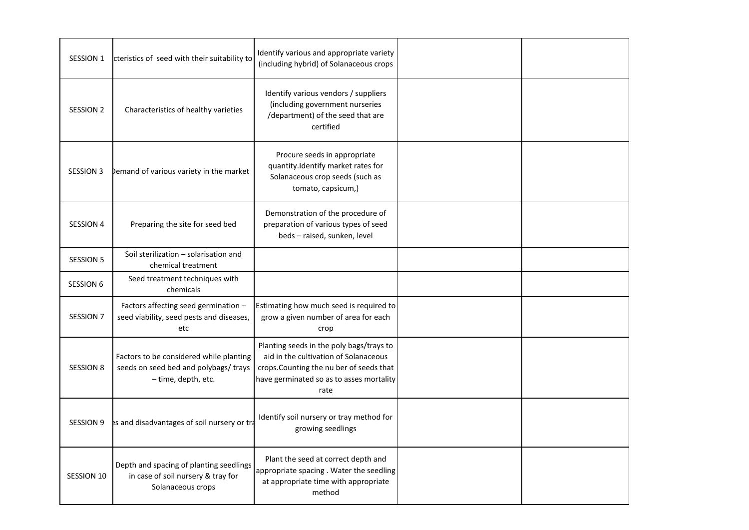| <b>SESSION 1</b> | cteristics of seed with their suitability to                                                            | Identify various and appropriate variety<br>(including hybrid) of Solanaceous crops                                                                                               |  |
|------------------|---------------------------------------------------------------------------------------------------------|-----------------------------------------------------------------------------------------------------------------------------------------------------------------------------------|--|
| <b>SESSION 2</b> | Characteristics of healthy varieties                                                                    | Identify various vendors / suppliers<br>(including government nurseries<br>/department) of the seed that are<br>certified                                                         |  |
| <b>SESSION 3</b> | bemand of various variety in the market                                                                 | Procure seeds in appropriate<br>quantity.Identify market rates for<br>Solanaceous crop seeds (such as<br>tomato, capsicum,)                                                       |  |
| <b>SESSION 4</b> | Preparing the site for seed bed                                                                         | Demonstration of the procedure of<br>preparation of various types of seed<br>beds - raised, sunken, level                                                                         |  |
| <b>SESSION 5</b> | Soil sterilization - solarisation and<br>chemical treatment                                             |                                                                                                                                                                                   |  |
| <b>SESSION 6</b> | Seed treatment techniques with<br>chemicals                                                             |                                                                                                                                                                                   |  |
| <b>SESSION 7</b> | Factors affecting seed germination -<br>seed viability, seed pests and diseases,<br>etc                 | Estimating how much seed is required to<br>grow a given number of area for each<br>crop                                                                                           |  |
| <b>SESSION 8</b> | Factors to be considered while planting<br>seeds on seed bed and polybags/ trays<br>- time, depth, etc. | Planting seeds in the poly bags/trays to<br>aid in the cultivation of Solanaceous<br>crops. Counting the nu ber of seeds that<br>have germinated so as to asses mortality<br>rate |  |
| <b>SESSION 9</b> | es and disadvantages of soil nursery or tra                                                             | Identify soil nursery or tray method for<br>growing seedlings                                                                                                                     |  |
| SESSION 10       | Depth and spacing of planting seedlings<br>in case of soil nursery & tray for<br>Solanaceous crops      | Plant the seed at correct depth and<br>appropriate spacing . Water the seedling<br>at appropriate time with appropriate<br>method                                                 |  |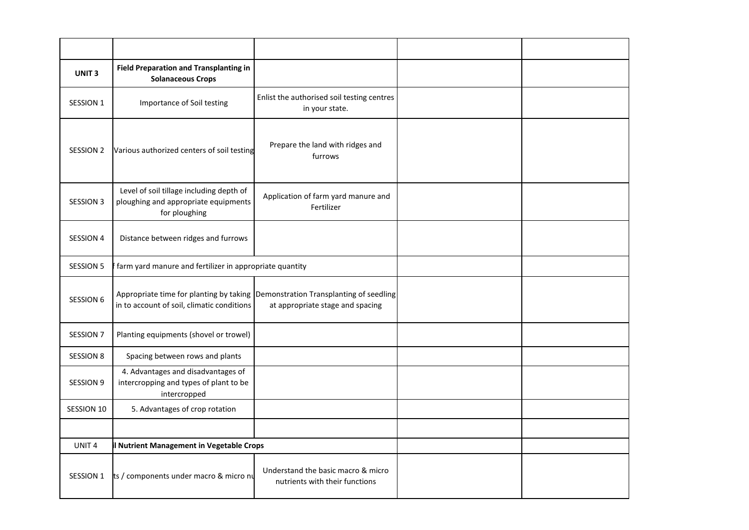| UNIT <sub>3</sub> | <b>Field Preparation and Transplanting in</b><br><b>Solanaceous Crops</b>                         |                                                                                                                     |  |
|-------------------|---------------------------------------------------------------------------------------------------|---------------------------------------------------------------------------------------------------------------------|--|
| <b>SESSION 1</b>  | Importance of Soil testing                                                                        | Enlist the authorised soil testing centres<br>in your state.                                                        |  |
| <b>SESSION 2</b>  | Various authorized centers of soil testing                                                        | Prepare the land with ridges and<br>furrows                                                                         |  |
| <b>SESSION 3</b>  | Level of soil tillage including depth of<br>ploughing and appropriate equipments<br>for ploughing | Application of farm yard manure and<br>Fertilizer                                                                   |  |
| <b>SESSION 4</b>  | Distance between ridges and furrows                                                               |                                                                                                                     |  |
| SESSION 5         | farm yard manure and fertilizer in appropriate quantity                                           |                                                                                                                     |  |
| <b>SESSION 6</b>  | in to account of soil, climatic conditions                                                        | Appropriate time for planting by taking Demonstration Transplanting of seedling<br>at appropriate stage and spacing |  |
| <b>SESSION 7</b>  | Planting equipments (shovel or trowel)                                                            |                                                                                                                     |  |
| <b>SESSION 8</b>  | Spacing between rows and plants                                                                   |                                                                                                                     |  |
| <b>SESSION 9</b>  | 4. Advantages and disadvantages of<br>intercropping and types of plant to be<br>intercropped      |                                                                                                                     |  |
| <b>SESSION 10</b> | 5. Advantages of crop rotation                                                                    |                                                                                                                     |  |
|                   |                                                                                                   |                                                                                                                     |  |
| UNIT <sub>4</sub> | Nutrient Management in Vegetable Crops                                                            |                                                                                                                     |  |
| <b>SESSION 1</b>  | ts / components under macro & micro nu                                                            | Understand the basic macro & micro<br>nutrients with their functions                                                |  |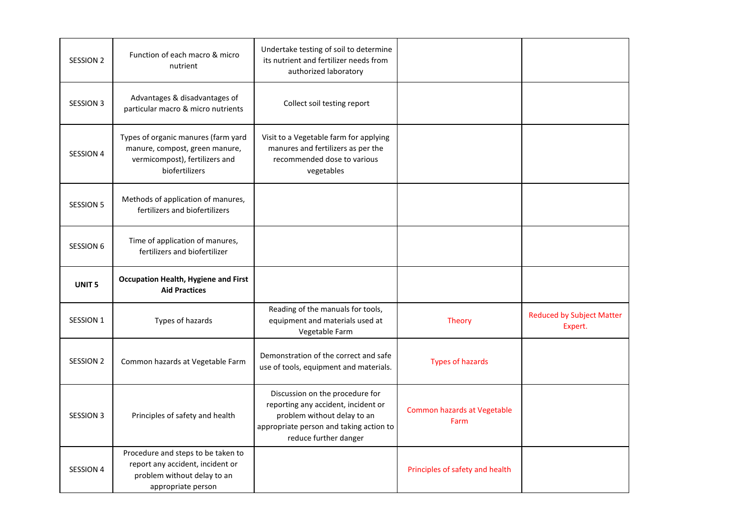| <b>SESSION 2</b>  | Function of each macro & micro<br>nutrient                                                                                | Undertake testing of soil to determine<br>its nutrient and fertilizer needs from<br>authorized laboratory                                                                 |                                            |                                             |
|-------------------|---------------------------------------------------------------------------------------------------------------------------|---------------------------------------------------------------------------------------------------------------------------------------------------------------------------|--------------------------------------------|---------------------------------------------|
| <b>SESSION 3</b>  | Advantages & disadvantages of<br>particular macro & micro nutrients                                                       | Collect soil testing report                                                                                                                                               |                                            |                                             |
| SESSION 4         | Types of organic manures (farm yard<br>manure, compost, green manure,<br>vermicompost), fertilizers and<br>biofertilizers | Visit to a Vegetable farm for applying<br>manures and fertilizers as per the<br>recommended dose to various<br>vegetables                                                 |                                            |                                             |
| <b>SESSION 5</b>  | Methods of application of manures,<br>fertilizers and biofertilizers                                                      |                                                                                                                                                                           |                                            |                                             |
| <b>SESSION 6</b>  | Time of application of manures,<br>fertilizers and biofertilizer                                                          |                                                                                                                                                                           |                                            |                                             |
|                   |                                                                                                                           |                                                                                                                                                                           |                                            |                                             |
| UNIT <sub>5</sub> | <b>Occupation Health, Hygiene and First</b><br><b>Aid Practices</b>                                                       |                                                                                                                                                                           |                                            |                                             |
| <b>SESSION 1</b>  | Types of hazards                                                                                                          | Reading of the manuals for tools,<br>equipment and materials used at<br>Vegetable Farm                                                                                    | <b>Theory</b>                              | <b>Reduced by Subject Matter</b><br>Expert. |
| SESSION 2         | Common hazards at Vegetable Farm                                                                                          | Demonstration of the correct and safe<br>use of tools, equipment and materials.                                                                                           | <b>Types of hazards</b>                    |                                             |
| <b>SESSION 3</b>  | Principles of safety and health                                                                                           | Discussion on the procedure for<br>reporting any accident, incident or<br>problem without delay to an<br>appropriate person and taking action to<br>reduce further danger | <b>Common hazards at Vegetable</b><br>Farm |                                             |